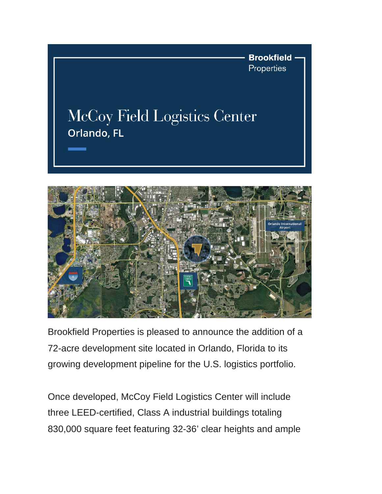



Brookfield Properties is pleased to announce the addition of a 72-acre development site located in Orlando, Florida to its growing development pipeline for the U.S. logistics portfolio.

Once developed, McCoy Field Logistics Center will include three LEED-certified, Class A industrial buildings totaling 830,000 square feet featuring 32-36' clear heights and ample